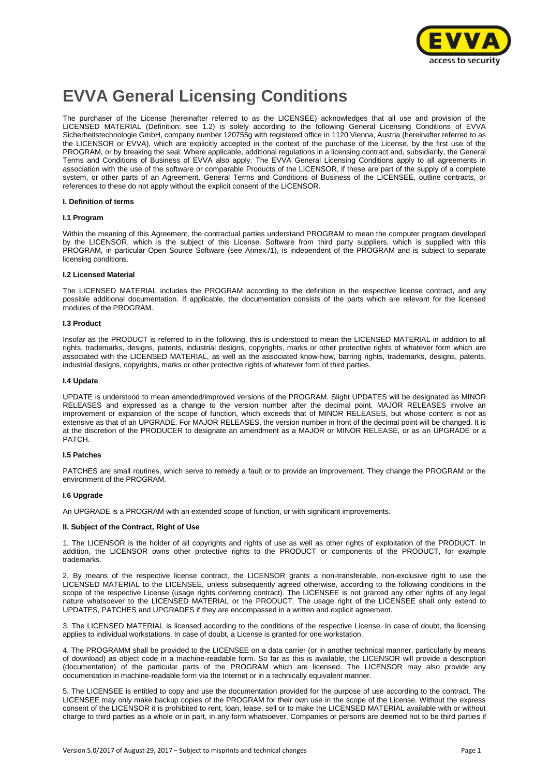

# **EVVA General Licensing Conditions**

The purchaser of the License (hereinafter referred to as the LICENSEE) acknowledges that all use and provision of the LICENSED MATERIAL (Definition: see 1.2) is solely according to the following General Licensing Conditions of EVVA Sicherheitstechnologie GmbH, company number 120755g with registered office in 1120 Vienna, Austria (hereinafter referred to as the LICENSOR or EVVA), which are explicitly accepted in the context of the purchase of the License, by the first use of the PROGRAM, or by breaking the seal. Where applicable, additional regulations in a licensing contract and, subsidiarily, the General Terms and Conditions of Business of EVVA also apply. The EVVA General Licensing Conditions apply to all agreements in association with the use of the software or comparable Products of the LICENSOR, if these are part of the supply of a complete system, or other parts of an Agreement. General Terms and Conditions of Business of the LICENSEE, outline contracts, or references to these do not apply without the explicit consent of the LICENSOR.

#### **I. Definition of terms**

#### **I.1 Program**

Within the meaning of this Agreement, the contractual parties understand PROGRAM to mean the computer program developed by the LICENSOR, which is the subject of this License. Software from third party suppliers, which is supplied with this PROGRAM, in particular Open Source Software (see Annex./1), is independent of the PROGRAM and is subject to separate licensing conditions.

#### **I.2 Licensed Material**

The LICENSED MATERIAL includes the PROGRAM according to the definition in the respective license contract, and any possible additional documentation. If applicable, the documentation consists of the parts which are relevant for the licensed modules of the PROGRAM.

#### **I.3 Product**

Insofar as the PRODUCT is referred to in the following, this is understood to mean the LICENSED MATERIAL in addition to all rights, trademarks, designs, patents, industrial designs, copyrights, marks or other protective rights of whatever form which are associated with the LICENSED MATERIAL, as well as the associated know-how, barring rights, trademarks, designs, patents, industrial designs, copyrights, marks or other protective rights of whatever form of third parties.

#### **I.4 Update**

UPDATE is understood to mean amended/improved versions of the PROGRAM. Slight UPDATES will be designated as MINOR RELEASES and expressed as a change to the version number after the decimal point. MAJOR RELEASES involve an improvement or expansion of the scope of function, which exceeds that of MINOR RELEASES, but whose content is not as extensive as that of an UPGRADE. For MAJOR RELEASES, the version number in front of the decimal point will be changed. It is at the discretion of the PRODUCER to designate an amendment as a MAJOR or MINOR RELEASE, or as an UPGRADE or a PATCH.

#### **I.5 Patches**

PATCHES are small routines, which serve to remedy a fault or to provide an improvement. They change the PROGRAM or the environment of the PROGRAM.

#### **I.6 Upgrade**

An UPGRADE is a PROGRAM with an extended scope of function, or with significant improvements.

#### **II. Subject of the Contract, Right of Use**

1. The LICENSOR is the holder of all copyrights and rights of use as well as other rights of exploitation of the PRODUCT. In addition, the LICENSOR owns other protective rights to the PRODUCT or components of the PRODUCT, for example trademarks.

2. By means of the respective license contract, the LICENSOR grants a non-transferable, non-exclusive right to use the LICENSED MATERIAL to the LICENSEE, unless subsequently agreed otherwise, according to the following conditions in the scope of the respective License (usage rights conferring contract). The LICENSEE is not granted any other rights of any legal nature whatsoever to the LICENSED MATERIAL or the PRODUCT. The usage right of the LICENSEE shall only extend to UPDATES, PATCHES and UPGRADES if they are encompassed in a written and explicit agreement.

3. The LICENSED MATERIAL is licensed according to the conditions of the respective License. In case of doubt, the licensing applies to individual workstations. In case of doubt, a License is granted for one workstation.

4. The PROGRAMM shall be provided to the LICENSEE on a data carrier (or in another technical manner, particularly by means of download) as object code in a machine-readable form. So far as this is available, the LICENSOR will provide a description (documentation) of the particular parts of the PROGRAM which are licensed. The LICENSOR may also provide any documentation in machine-readable form via the Internet or in a technically equivalent manner.

5. The LICENSEE is entitled to copy and use the documentation provided for the purpose of use according to the contract. The LICENSEE may only make backup copies of the PROGRAM for their own use in the scope of the License. Without the express consent of the LICENSOR it is prohibited to rent, loan, lease, sell or to make the LICENSED MATERIAL available with or without charge to third parties as a whole or in part, in any form whatsoever. Companies or persons are deemed not to be third parties if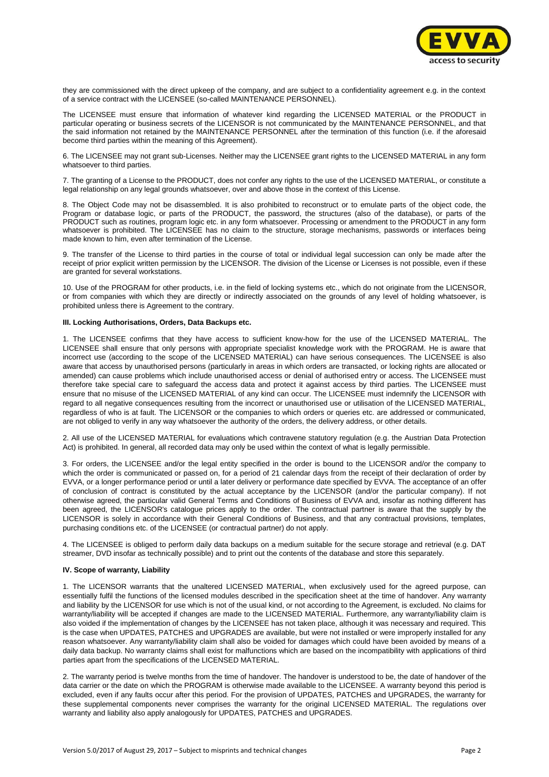

they are commissioned with the direct upkeep of the company, and are subject to a confidentiality agreement e.g. in the context of a service contract with the LICENSEE (so-called MAINTENANCE PERSONNEL).

The LICENSEE must ensure that information of whatever kind regarding the LICENSED MATERIAL or the PRODUCT in particular operating or business secrets of the LICENSOR is not communicated by the MAINTENANCE PERSONNEL, and that the said information not retained by the MAINTENANCE PERSONNEL after the termination of this function (i.e. if the aforesaid become third parties within the meaning of this Agreement).

6. The LICENSEE may not grant sub-Licenses. Neither may the LICENSEE grant rights to the LICENSED MATERIAL in any form whatsoever to third parties.

7. The granting of a License to the PRODUCT, does not confer any rights to the use of the LICENSED MATERIAL, or constitute a legal relationship on any legal grounds whatsoever, over and above those in the context of this License.

8. The Object Code may not be disassembled. It is also prohibited to reconstruct or to emulate parts of the object code, the Program or database logic, or parts of the PRODUCT, the password, the structures (also of the database), or parts of the PRODUCT such as routines, program logic etc. in any form whatsoever. Processing or amendment to the PRODUCT in any form whatsoever is prohibited. The LICENSEE has no claim to the structure, storage mechanisms, passwords or interfaces being made known to him, even after termination of the License.

9. The transfer of the License to third parties in the course of total or individual legal succession can only be made after the receipt of prior explicit written permission by the LICENSOR. The division of the License or Licenses is not possible, even if these are granted for several workstations.

10. Use of the PROGRAM for other products, i.e. in the field of locking systems etc., which do not originate from the LICENSOR, or from companies with which they are directly or indirectly associated on the grounds of any level of holding whatsoever, is prohibited unless there is Agreement to the contrary.

#### **III. Locking Authorisations, Orders, Data Backups etc.**

1. The LICENSEE confirms that they have access to sufficient know-how for the use of the LICENSED MATERIAL. The LICENSEE shall ensure that only persons with appropriate specialist knowledge work with the PROGRAM. He is aware that incorrect use (according to the scope of the LICENSED MATERIAL) can have serious consequences. The LICENSEE is also aware that access by unauthorised persons (particularly in areas in which orders are transacted, or locking rights are allocated or amended) can cause problems which include unauthorised access or denial of authorised entry or access. The LICENSEE must therefore take special care to safeguard the access data and protect it against access by third parties. The LICENSEE must ensure that no misuse of the LICENSED MATERIAL of any kind can occur. The LICENSEE must indemnify the LICENSOR with regard to all negative consequences resulting from the incorrect or unauthorised use or utilisation of the LICENSED MATERIAL, regardless of who is at fault. The LICENSOR or the companies to which orders or queries etc. are addressed or communicated, are not obliged to verify in any way whatsoever the authority of the orders, the delivery address, or other details.

2. All use of the LICENSED MATERIAL for evaluations which contravene statutory regulation (e.g. the Austrian Data Protection Act) is prohibited. In general, all recorded data may only be used within the context of what is legally permissible.

3. For orders, the LICENSEE and/or the legal entity specified in the order is bound to the LICENSOR and/or the company to which the order is communicated or passed on, for a period of 21 calendar days from the receipt of their declaration of order by EVVA, or a longer performance period or until a later delivery or performance date specified by EVVA. The acceptance of an offer of conclusion of contract is constituted by the actual acceptance by the LICENSOR (and/or the particular company). If not otherwise agreed, the particular valid General Terms and Conditions of Business of EVVA and, insofar as nothing different has been agreed, the LICENSOR's catalogue prices apply to the order. The contractual partner is aware that the supply by the LICENSOR is solely in accordance with their General Conditions of Business, and that any contractual provisions, templates, purchasing conditions etc. of the LICENSEE (or contractual partner) do not apply.

4. The LICENSEE is obliged to perform daily data backups on a medium suitable for the secure storage and retrieval (e.g. DAT streamer, DVD insofar as technically possible) and to print out the contents of the database and store this separately.

### **IV. Scope of warranty, Liability**

1. The LICENSOR warrants that the unaltered LICENSED MATERIAL, when exclusively used for the agreed purpose, can essentially fulfil the functions of the licensed modules described in the specification sheet at the time of handover. Any warranty and liability by the LICENSOR for use which is not of the usual kind, or not according to the Agreement, is excluded. No claims for warranty/liability will be accepted if changes are made to the LICENSED MATERIAL. Furthermore, any warranty/liability claim is also voided if the implementation of changes by the LICENSEE has not taken place, although it was necessary and required. This is the case when UPDATES, PATCHES and UPGRADES are available, but were not installed or were improperly installed for any reason whatsoever. Any warranty/liability claim shall also be voided for damages which could have been avoided by means of a daily data backup. No warranty claims shall exist for malfunctions which are based on the incompatibility with applications of third parties apart from the specifications of the LICENSED MATERIAL.

2. The warranty period is twelve months from the time of handover. The handover is understood to be, the date of handover of the data carrier or the date on which the PROGRAM is otherwise made available to the LICENSEE. A warranty beyond this period is excluded, even if any faults occur after this period. For the provision of UPDATES, PATCHES and UPGRADES, the warranty for these supplemental components never comprises the warranty for the original LICENSED MATERIAL. The regulations over warranty and liability also apply analogously for UPDATES, PATCHES and UPGRADES.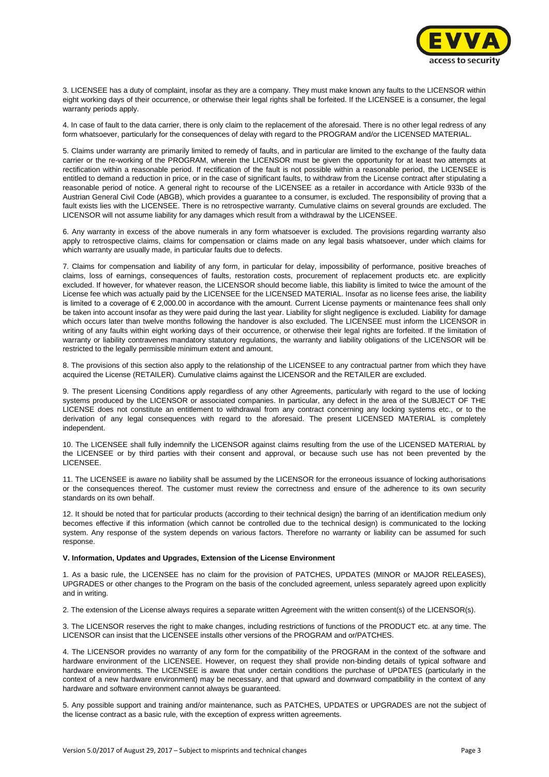

3. LICENSEE has a duty of complaint, insofar as they are a company. They must make known any faults to the LICENSOR within eight working days of their occurrence, or otherwise their legal rights shall be forfeited. If the LICENSEE is a consumer, the legal warranty periods apply.

4. In case of fault to the data carrier, there is only claim to the replacement of the aforesaid. There is no other legal redress of any form whatsoever, particularly for the consequences of delay with regard to the PROGRAM and/or the LICENSED MATERIAL.

5. Claims under warranty are primarily limited to remedy of faults, and in particular are limited to the exchange of the faulty data carrier or the re-working of the PROGRAM, wherein the LICENSOR must be given the opportunity for at least two attempts at rectification within a reasonable period. If rectification of the fault is not possible within a reasonable period, the LICENSEE is entitled to demand a reduction in price, or in the case of significant faults, to withdraw from the License contract after stipulating a reasonable period of notice. A general right to recourse of the LICENSEE as a retailer in accordance with Article 933b of the Austrian General Civil Code (ABGB), which provides a guarantee to a consumer, is excluded. The responsibility of proving that a fault exists lies with the LICENSEE. There is no retrospective warranty. Cumulative claims on several grounds are excluded. The LICENSOR will not assume liability for any damages which result from a withdrawal by the LICENSEE.

6. Any warranty in excess of the above numerals in any form whatsoever is excluded. The provisions regarding warranty also apply to retrospective claims, claims for compensation or claims made on any legal basis whatsoever, under which claims for which warranty are usually made, in particular faults due to defects.

7. Claims for compensation and liability of any form, in particular for delay, impossibility of performance, positive breaches of claims, loss of earnings, consequences of faults, restoration costs, procurement of replacement products etc. are explicitly excluded. If however, for whatever reason, the LICENSOR should become liable, this liability is limited to twice the amount of the License fee which was actually paid by the LICENSEE for the LICENSED MATERIAL. Insofar as no license fees arise, the liability is limited to a coverage of  $\epsilon$  2,000.00 in accordance with the amount. Current License payments or maintenance fees shall only be taken into account insofar as they were paid during the last year. Liability for slight negligence is excluded. Liability for damage which occurs later than twelve months following the handover is also excluded. The LICENSEE must inform the LICENSOR in writing of any faults within eight working days of their occurrence, or otherwise their legal rights are forfeited. If the limitation of warranty or liability contravenes mandatory statutory regulations, the warranty and liability obligations of the LICENSOR will be restricted to the legally permissible minimum extent and amount.

8. The provisions of this section also apply to the relationship of the LICENSEE to any contractual partner from which they have acquired the License (RETAILER). Cumulative claims against the LICENSOR and the RETAILER are excluded.

9. The present Licensing Conditions apply regardless of any other Agreements, particularly with regard to the use of locking systems produced by the LICENSOR or associated companies. In particular, any defect in the area of the SUBJECT OF THE LICENSE does not constitute an entitlement to withdrawal from any contract concerning any locking systems etc., or to the derivation of any legal consequences with regard to the aforesaid. The present LICENSED MATERIAL is completely independent.

10. The LICENSEE shall fully indemnify the LICENSOR against claims resulting from the use of the LICENSED MATERIAL by the LICENSEE or by third parties with their consent and approval, or because such use has not been prevented by the LICENSEE.

11. The LICENSEE is aware no liability shall be assumed by the LICENSOR for the erroneous issuance of locking authorisations or the consequences thereof. The customer must review the correctness and ensure of the adherence to its own security standards on its own behalf.

12. It should be noted that for particular products (according to their technical design) the barring of an identification medium only becomes effective if this information (which cannot be controlled due to the technical design) is communicated to the locking system. Any response of the system depends on various factors. Therefore no warranty or liability can be assumed for such response.

#### **V. Information, Updates and Upgrades, Extension of the License Environment**

1. As a basic rule, the LICENSEE has no claim for the provision of PATCHES, UPDATES (MINOR or MAJOR RELEASES), UPGRADES or other changes to the Program on the basis of the concluded agreement, unless separately agreed upon explicitly and in writing.

2. The extension of the License always requires a separate written Agreement with the written consent(s) of the LICENSOR(s).

3. The LICENSOR reserves the right to make changes, including restrictions of functions of the PRODUCT etc. at any time. The LICENSOR can insist that the LICENSEE installs other versions of the PROGRAM and or/PATCHES.

4. The LICENSOR provides no warranty of any form for the compatibility of the PROGRAM in the context of the software and hardware environment of the LICENSEE. However, on request they shall provide non-binding details of typical software and hardware environments. The LICENSEE is aware that under certain conditions the purchase of UPDATES (particularly in the context of a new hardware environment) may be necessary, and that upward and downward compatibility in the context of any hardware and software environment cannot always be guaranteed.

5. Any possible support and training and/or maintenance, such as PATCHES, UPDATES or UPGRADES are not the subject of the license contract as a basic rule, with the exception of express written agreements.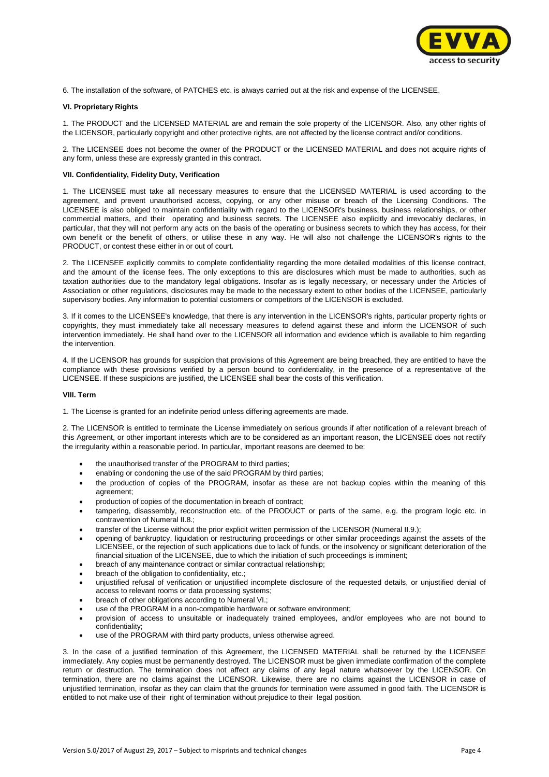

6. The installation of the software, of PATCHES etc. is always carried out at the risk and expense of the LICENSEE.

#### **VI. Proprietary Rights**

1. The PRODUCT and the LICENSED MATERIAL are and remain the sole property of the LICENSOR. Also, any other rights of the LICENSOR, particularly copyright and other protective rights, are not affected by the license contract and/or conditions.

2. The LICENSEE does not become the owner of the PRODUCT or the LICENSED MATERIAL and does not acquire rights of any form, unless these are expressly granted in this contract.

#### **VII. Confidentiality, Fidelity Duty, Verification**

1. The LICENSEE must take all necessary measures to ensure that the LICENSED MATERIAL is used according to the agreement, and prevent unauthorised access, copying, or any other misuse or breach of the Licensing Conditions. The LICENSEE is also obliged to maintain confidentiality with regard to the LICENSOR's business, business relationships, or other commercial matters, and their operating and business secrets. The LICENSEE also explicitly and irrevocably declares, in particular, that they will not perform any acts on the basis of the operating or business secrets to which they has access, for their own benefit or the benefit of others, or utilise these in any way. He will also not challenge the LICENSOR's rights to the PRODUCT, or contest these either in or out of court.

2. The LICENSEE explicitly commits to complete confidentiality regarding the more detailed modalities of this license contract, and the amount of the license fees. The only exceptions to this are disclosures which must be made to authorities, such as taxation authorities due to the mandatory legal obligations. Insofar as is legally necessary, or necessary under the Articles of Association or other regulations, disclosures may be made to the necessary extent to other bodies of the LICENSEE, particularly supervisory bodies. Any information to potential customers or competitors of the LICENSOR is excluded.

3. If it comes to the LICENSEE's knowledge, that there is any intervention in the LICENSOR's rights, particular property rights or copyrights, they must immediately take all necessary measures to defend against these and inform the LICENSOR of such intervention immediately. He shall hand over to the LICENSOR all information and evidence which is available to him regarding the intervention.

4. If the LICENSOR has grounds for suspicion that provisions of this Agreement are being breached, they are entitled to have the compliance with these provisions verified by a person bound to confidentiality, in the presence of a representative of the LICENSEE. If these suspicions are justified, the LICENSEE shall bear the costs of this verification.

#### **VIII. Term**

1. The License is granted for an indefinite period unless differing agreements are made.

2. The LICENSOR is entitled to terminate the License immediately on serious grounds if after notification of a relevant breach of this Agreement, or other important interests which are to be considered as an important reason, the LICENSEE does not rectify the irregularity within a reasonable period. In particular, important reasons are deemed to be:

- the unauthorised transfer of the PROGRAM to third parties;
- enabling or condoning the use of the said PROGRAM by third parties;
- the production of copies of the PROGRAM, insofar as these are not backup copies within the meaning of this agreement;
- production of copies of the documentation in breach of contract;
- tampering, disassembly, reconstruction etc. of the PRODUCT or parts of the same, e.g. the program logic etc. in contravention of Numeral II.8.;
- transfer of the License without the prior explicit written permission of the LICENSOR (Numeral II.9.);
- opening of bankruptcy, liquidation or restructuring proceedings or other similar proceedings against the assets of the LICENSEE, or the rejection of such applications due to lack of funds, or the insolvency or significant deterioration of the financial situation of the LICENSEE, due to which the initiation of such proceedings is imminent;
- breach of any maintenance contract or similar contractual relationship;
- breach of the obligation to confidentiality, etc.;
- unjustified refusal of verification or unjustified incomplete disclosure of the requested details, or unjustified denial of access to relevant rooms or data processing systems;
- breach of other obligations according to Numeral VI.;
- use of the PROGRAM in a non-compatible hardware or software environment;
- provision of access to unsuitable or inadequately trained employees, and/or employees who are not bound to confidentiality;
- use of the PROGRAM with third party products, unless otherwise agreed.

3. In the case of a justified termination of this Agreement, the LICENSED MATERIAL shall be returned by the LICENSEE immediately. Any copies must be permanently destroyed. The LICENSOR must be given immediate confirmation of the complete return or destruction. The termination does not affect any claims of any legal nature whatsoever by the LICENSOR. On termination, there are no claims against the LICENSOR. Likewise, there are no claims against the LICENSOR in case of unjustified termination, insofar as they can claim that the grounds for termination were assumed in good faith. The LICENSOR is entitled to not make use of their right of termination without prejudice to their legal position.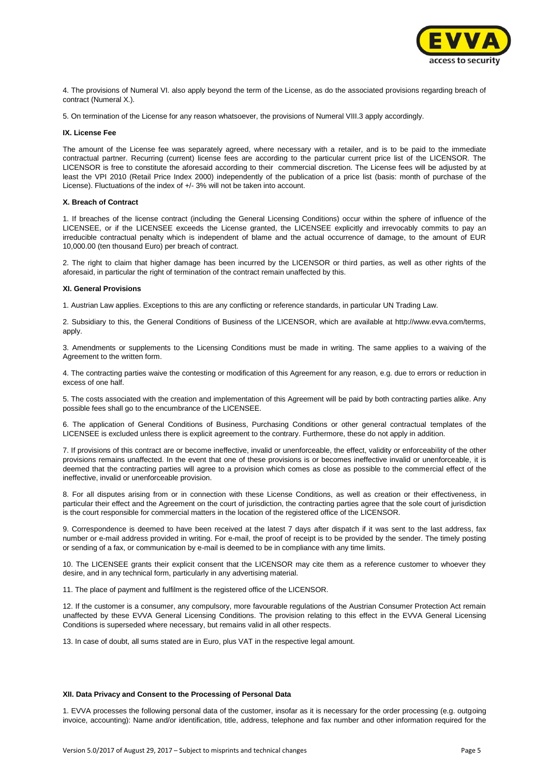

4. The provisions of Numeral VI. also apply beyond the term of the License, as do the associated provisions regarding breach of contract (Numeral X.).

5. On termination of the License for any reason whatsoever, the provisions of Numeral VIII.3 apply accordingly.

#### **IX. License Fee**

The amount of the License fee was separately agreed, where necessary with a retailer, and is to be paid to the immediate contractual partner. Recurring (current) license fees are according to the particular current price list of the LICENSOR. The LICENSOR is free to constitute the aforesaid according to their commercial discretion. The License fees will be adjusted by at least the VPI 2010 (Retail Price Index 2000) independently of the publication of a price list (basis: month of purchase of the License). Fluctuations of the index of +/- 3% will not be taken into account.

#### **X. Breach of Contract**

1. If breaches of the license contract (including the General Licensing Conditions) occur within the sphere of influence of the LICENSEE, or if the LICENSEE exceeds the License granted, the LICENSEE explicitly and irrevocably commits to pay an irreducible contractual penalty which is independent of blame and the actual occurrence of damage, to the amount of EUR 10,000.00 (ten thousand Euro) per breach of contract.

2. The right to claim that higher damage has been incurred by the LICENSOR or third parties, as well as other rights of the aforesaid, in particular the right of termination of the contract remain unaffected by this.

#### **XI. General Provisions**

1. Austrian Law applies. Exceptions to this are any conflicting or reference standards, in particular UN Trading Law.

2. Subsidiary to this, the General Conditions of Business of the LICENSOR, which are available at http://www.evva.com/terms, apply.

3. Amendments or supplements to the Licensing Conditions must be made in writing. The same applies to a waiving of the Agreement to the written form.

4. The contracting parties waive the contesting or modification of this Agreement for any reason, e.g. due to errors or reduction in excess of one half.

5. The costs associated with the creation and implementation of this Agreement will be paid by both contracting parties alike. Any possible fees shall go to the encumbrance of the LICENSEE.

6. The application of General Conditions of Business, Purchasing Conditions or other general contractual templates of the LICENSEE is excluded unless there is explicit agreement to the contrary. Furthermore, these do not apply in addition.

7. If provisions of this contract are or become ineffective, invalid or unenforceable, the effect, validity or enforceability of the other provisions remains unaffected. In the event that one of these provisions is or becomes ineffective invalid or unenforceable, it is deemed that the contracting parties will agree to a provision which comes as close as possible to the commercial effect of the ineffective, invalid or unenforceable provision.

8. For all disputes arising from or in connection with these License Conditions, as well as creation or their effectiveness, in particular their effect and the Agreement on the court of jurisdiction, the contracting parties agree that the sole court of jurisdiction is the court responsible for commercial matters in the location of the registered office of the LICENSOR.

9. Correspondence is deemed to have been received at the latest 7 days after dispatch if it was sent to the last address, fax number or e-mail address provided in writing. For e-mail, the proof of receipt is to be provided by the sender. The timely posting or sending of a fax, or communication by e-mail is deemed to be in compliance with any time limits.

10. The LICENSEE grants their explicit consent that the LICENSOR may cite them as a reference customer to whoever they desire, and in any technical form, particularly in any advertising material.

11. The place of payment and fulfilment is the registered office of the LICENSOR.

12. If the customer is a consumer, any compulsory, more favourable regulations of the Austrian Consumer Protection Act remain unaffected by these EVVA General Licensing Conditions. The provision relating to this effect in the EVVA General Licensing Conditions is superseded where necessary, but remains valid in all other respects.

13. In case of doubt, all sums stated are in Euro, plus VAT in the respective legal amount.

#### **XII. Data Privacy and Consent to the Processing of Personal Data**

1. EVVA processes the following personal data of the customer, insofar as it is necessary for the order processing (e.g. outgoing invoice, accounting): Name and/or identification, title, address, telephone and fax number and other information required for the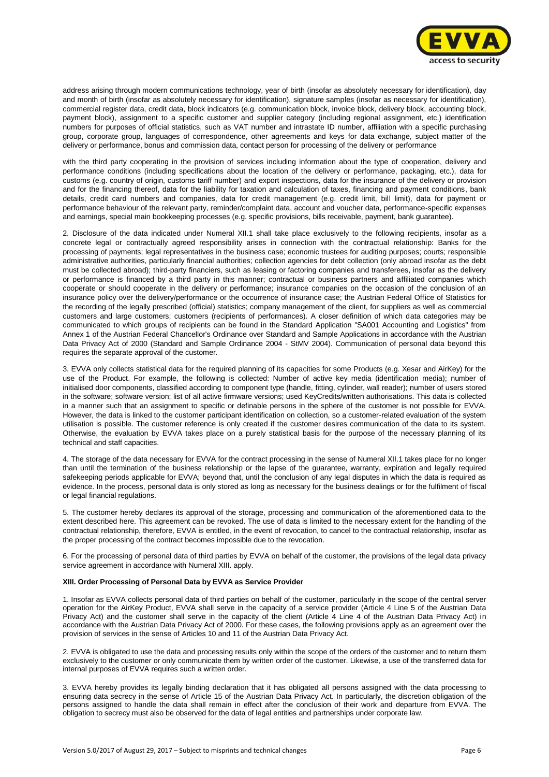

address arising through modern communications technology, year of birth (insofar as absolutely necessary for identification), day and month of birth (insofar as absolutely necessary for identification), signature samples (insofar as necessary for identification), commercial register data, credit data, block indicators (e.g. communication block, invoice block, delivery block, accounting block, payment block), assignment to a specific customer and supplier category (including regional assignment, etc.) identification numbers for purposes of official statistics, such as VAT number and intrastate ID number, affiliation with a specific purchasing group, corporate group, languages of correspondence, other agreements and keys for data exchange, subject matter of the delivery or performance, bonus and commission data, contact person for processing of the delivery or performance

with the third party cooperating in the provision of services including information about the type of cooperation, delivery and performance conditions (including specifications about the location of the delivery or performance, packaging, etc.), data for customs (e.g. country of origin, customs tariff number) and export inspections, data for the insurance of the delivery or provision and for the financing thereof, data for the liability for taxation and calculation of taxes, financing and payment conditions, bank details, credit card numbers and companies, data for credit management (e.g. credit limit, bill limit), data for payment or performance behaviour of the relevant party, reminder/complaint data, account and voucher data, performance-specific expenses and earnings, special main bookkeeping processes (e.g. specific provisions, bills receivable, payment, bank guarantee).

2. Disclosure of the data indicated under Numeral XII.1 shall take place exclusively to the following recipients, insofar as a concrete legal or contractually agreed responsibility arises in connection with the contractual relationship: Banks for the processing of payments; legal representatives in the business case; economic trustees for auditing purposes; courts; responsible administrative authorities, particularly financial authorities; collection agencies for debt collection (only abroad insofar as the debt must be collected abroad); third-party financiers, such as leasing or factoring companies and transferees, insofar as the delivery or performance is financed by a third party in this manner; contractual or business partners and affiliated companies which cooperate or should cooperate in the delivery or performance; insurance companies on the occasion of the conclusion of an insurance policy over the delivery/performance or the occurrence of insurance case; the Austrian Federal Office of Statistics for the recording of the legally prescribed (official) statistics; company management of the client, for suppliers as well as commercial customers and large customers; customers (recipients of performances). A closer definition of which data categories may be communicated to which groups of recipients can be found in the Standard Application "SA001 Accounting and Logistics" from Annex 1 of the Austrian Federal Chancellor's Ordinance over Standard and Sample Applications in accordance with the Austrian Data Privacy Act of 2000 (Standard and Sample Ordinance 2004 - StMV 2004). Communication of personal data beyond this requires the separate approval of the customer.

3. EVVA only collects statistical data for the required planning of its capacities for some Products (e.g. Xesar and AirKey) for the use of the Product. For example, the following is collected: Number of active key media (identification media); number of initialised door components, classified according to component type (handle, fitting, cylinder, wall reader); number of users stored in the software; software version; list of all active firmware versions; used KeyCredits/written authorisations. This data is collected in a manner such that an assignment to specific or definable persons in the sphere of the customer is not possible for EVVA. However, the data is linked to the customer participant identification on collection, so a customer-related evaluation of the system utilisation is possible. The customer reference is only created if the customer desires communication of the data to its system. Otherwise, the evaluation by EVVA takes place on a purely statistical basis for the purpose of the necessary planning of its technical and staff capacities.

4. The storage of the data necessary for EVVA for the contract processing in the sense of Numeral XII.1 takes place for no longer than until the termination of the business relationship or the lapse of the guarantee, warranty, expiration and legally required safekeeping periods applicable for EVVA; beyond that, until the conclusion of any legal disputes in which the data is required as evidence. In the process, personal data is only stored as long as necessary for the business dealings or for the fulfilment of fiscal or legal financial regulations.

5. The customer hereby declares its approval of the storage, processing and communication of the aforementioned data to the extent described here. This agreement can be revoked. The use of data is limited to the necessary extent for the handling of the contractual relationship, therefore, EVVA is entitled, in the event of revocation, to cancel to the contractual relationship, insofar as the proper processing of the contract becomes impossible due to the revocation.

6. For the processing of personal data of third parties by EVVA on behalf of the customer, the provisions of the legal data privacy service agreement in accordance with Numeral XIII. apply.

#### **XIII. Order Processing of Personal Data by EVVA as Service Provider**

1. Insofar as EVVA collects personal data of third parties on behalf of the customer, particularly in the scope of the central server operation for the AirKey Product, EVVA shall serve in the capacity of a service provider (Article 4 Line 5 of the Austrian Data Privacy Act) and the customer shall serve in the capacity of the client (Article 4 Line 4 of the Austrian Data Privacy Act) in accordance with the Austrian Data Privacy Act of 2000. For these cases, the following provisions apply as an agreement over the provision of services in the sense of Articles 10 and 11 of the Austrian Data Privacy Act.

2. EVVA is obligated to use the data and processing results only within the scope of the orders of the customer and to return them exclusively to the customer or only communicate them by written order of the customer. Likewise, a use of the transferred data for internal purposes of EVVA requires such a written order.

3. EVVA hereby provides its legally binding declaration that it has obligated all persons assigned with the data processing to ensuring data secrecy in the sense of Article 15 of the Austrian Data Privacy Act. In particularly, the discretion obligation of the persons assigned to handle the data shall remain in effect after the conclusion of their work and departure from EVVA. The obligation to secrecy must also be observed for the data of legal entities and partnerships under corporate law.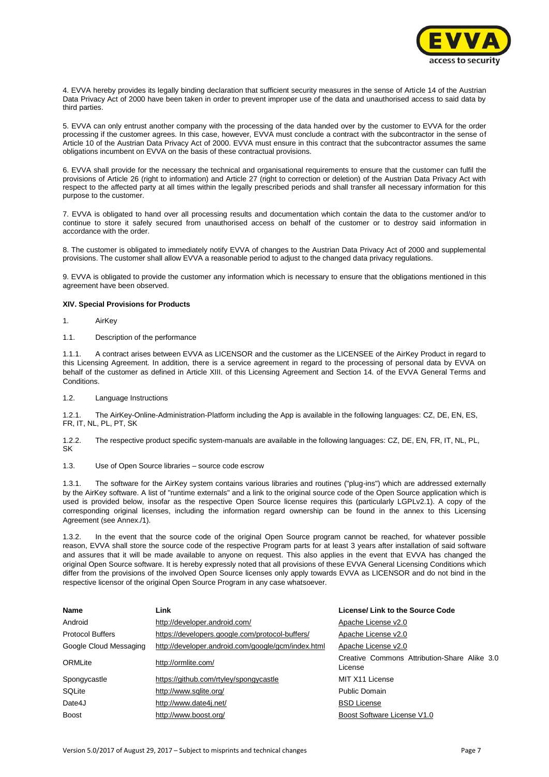

4. EVVA hereby provides its legally binding declaration that sufficient security measures in the sense of Article 14 of the Austrian Data Privacy Act of 2000 have been taken in order to prevent improper use of the data and unauthorised access to said data by third parties.

5. EVVA can only entrust another company with the processing of the data handed over by the customer to EVVA for the order processing if the customer agrees. In this case, however, EVVA must conclude a contract with the subcontractor in the sense of Article 10 of the Austrian Data Privacy Act of 2000. EVVA must ensure in this contract that the subcontractor assumes the same obligations incumbent on EVVA on the basis of these contractual provisions.

6. EVVA shall provide for the necessary the technical and organisational requirements to ensure that the customer can fulfil the provisions of Article 26 (right to information) and Article 27 (right to correction or deletion) of the Austrian Data Privacy Act with respect to the affected party at all times within the legally prescribed periods and shall transfer all necessary information for this purpose to the customer.

7. EVVA is obligated to hand over all processing results and documentation which contain the data to the customer and/or to continue to store it safely secured from unauthorised access on behalf of the customer or to destroy said information in accordance with the order.

8. The customer is obligated to immediately notify EVVA of changes to the Austrian Data Privacy Act of 2000 and supplemental provisions. The customer shall allow EVVA a reasonable period to adjust to the changed data privacy regulations.

9. EVVA is obligated to provide the customer any information which is necessary to ensure that the obligations mentioned in this agreement have been observed.

## **XIV. Special Provisions for Products**

- 1. AirKey
- 1.1. Description of the performance

1.1.1. A contract arises between EVVA as LICENSOR and the customer as the LICENSEE of the AirKey Product in regard to this Licensing Agreement. In addition, there is a service agreement in regard to the processing of personal data by EVVA on behalf of the customer as defined in Article XIII. of this Licensing Agreement and Section 14. of the EVVA General Terms and Conditions.

1.2. Language Instructions

1.2.1. The AirKey-Online-Administration-Platform including the App is available in the following languages: CZ, DE, EN, ES, FR, IT, NL, PL, PT, SK

1.2.2. The respective product specific system-manuals are available in the following languages: CZ, DE, EN, FR, IT, NL, PL, SK

1.3. Use of Open Source libraries – source code escrow

1.3.1. The software for the AirKey system contains various libraries and routines ("plug-ins") which are addressed externally by the AirKey software. A list of "runtime externals" and a link to the original source code of the Open Source application which is used is provided below, insofar as the respective Open Source license requires this (particularly LGPLv2.1). A copy of the corresponding original licenses, including the information regard ownership can be found in the annex to this Licensing Agreement (see Annex./1).

1.3.2. In the event that the source code of the original Open Source program cannot be reached, for whatever possible reason, EVVA shall store the source code of the respective Program parts for at least 3 years after installation of said software and assures that it will be made available to anyone on request. This also applies in the event that EVVA has changed the original Open Source software. It is hereby expressly noted that all provisions of these EVVA General Licensing Conditions which differ from the provisions of the involved Open Source licenses only apply towards EVVA as LICENSOR and do not bind in the respective licensor of the original Open Source Program in any case whatsoever.

| <b>Name</b>             | Link                                               | License/ Link to the Source Code                        |
|-------------------------|----------------------------------------------------|---------------------------------------------------------|
| Android                 | http://developer.android.com/                      | Apache License v2.0                                     |
| <b>Protocol Buffers</b> | https://developers.google.com/protocol-buffers/    | Apache License v2.0                                     |
| Google Cloud Messaging  | http://developer.android.com/google/gcm/index.html | Apache License v2.0                                     |
| ORMLite                 | http://ormlite.com/                                | Creative Commons Attribution-Share Alike 3.0<br>License |
| Spongycastle            | https://github.com/rtyley/spongycastle             | MIT X11 License                                         |
| SQLite                  | http://www.sqlite.org/                             | Public Domain                                           |
| Date4J                  | http://www.date4j.net/                             | <b>BSD License</b>                                      |
| <b>Boost</b>            | http://www.boost.org/                              | Boost Software License V1.0                             |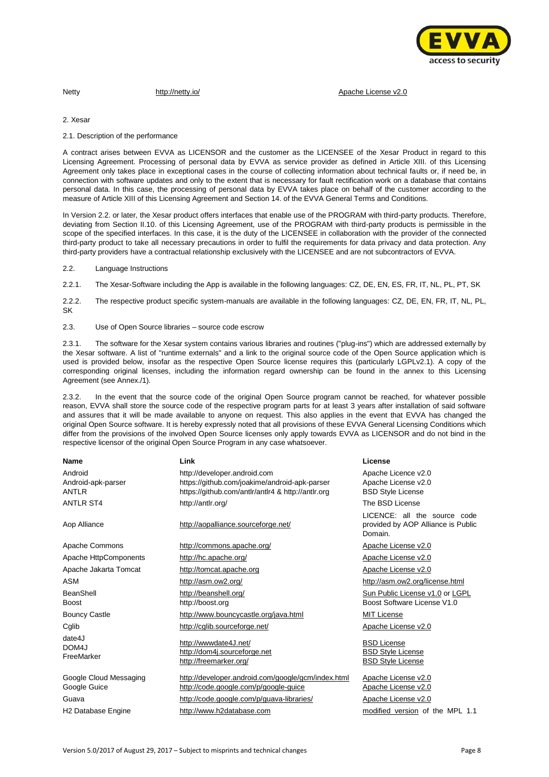

Netty **<http://netty.io/>** [Apache License v2.0](http://www.apache.org/licenses/LICENSE-2.0.html)

2. Xesar

2.1. Description of the performance

A contract arises between EVVA as LICENSOR and the customer as the LICENSEE of the Xesar Product in regard to this Licensing Agreement. Processing of personal data by EVVA as service provider as defined in Article XIII. of this Licensing Agreement only takes place in exceptional cases in the course of collecting information about technical faults or, if need be, in connection with software updates and only to the extent that is necessary for fault rectification work on a database that contains personal data. In this case, the processing of personal data by EVVA takes place on behalf of the customer according to the measure of Article XIII of this Licensing Agreement and Section 14. of the EVVA General Terms and Conditions.

In Version 2.2. or later, the Xesar product offers interfaces that enable use of the PROGRAM with third-party products. Therefore, deviating from Section II.10. of this Licensing Agreement, use of the PROGRAM with third-party products is permissible in the scope of the specified interfaces. In this case, it is the duty of the LICENSEE in collaboration with the provider of the connected third-party product to take all necessary precautions in order to fulfil the requirements for data privacy and data protection. Any third-party providers have a contractual relationship exclusively with the LICENSEE and are not subcontractors of EVVA.

2.2. Language Instructions

2.2.1. The Xesar-Software including the App is available in the following languages: CZ, DE, EN, ES, FR, IT, NL, PL, PT, SK

2.2.2. The respective product specific system-manuals are available in the following languages: CZ, DE, EN, FR, IT, NL, PL, **SK** 

2.3. Use of Open Source libraries – source code escrow

2.3.1. The software for the Xesar system contains various libraries and routines ("plug-ins") which are addressed externally by the Xesar software. A list of "runtime externals" and a link to the original source code of the Open Source application which is used is provided below, insofar as the respective Open Source license requires this (particularly LGPLv2.1). A copy of the corresponding original licenses, including the information regard ownership can be found in the annex to this Licensing Agreement (see Annex./1).

2.3.2. In the event that the source code of the original Open Source program cannot be reached, for whatever possible reason, EVVA shall store the source code of the respective program parts for at least 3 years after installation of said software and assures that it will be made available to anyone on request. This also applies in the event that EVVA has changed the original Open Source software. It is hereby expressly noted that all provisions of these EVVA General Licensing Conditions which differ from the provisions of the involved Open Source licenses only apply towards EVVA as LICENSOR and do not bind in the respective licensor of the original Open Source Program in any case whatsoever.

| <b>Name</b>                                   | Link                                                                                                                                | License                                                                       |
|-----------------------------------------------|-------------------------------------------------------------------------------------------------------------------------------------|-------------------------------------------------------------------------------|
| Android<br>Android-apk-parser<br><b>ANTLR</b> | http://developer.android.com<br>https://github.com/joakime/android-apk-parser<br>https://github.com/antlr/antlr4 & http://antlr.org | Apache Licence v2.0<br>Apache License v2.0<br><b>BSD Style License</b>        |
| <b>ANTLR ST4</b>                              | http://antlr.org/                                                                                                                   | The BSD License                                                               |
| Aop Alliance                                  | http://aopalliance.sourceforge.net/                                                                                                 | LICENCE: all the source code<br>provided by AOP Alliance is Public<br>Domain. |
| Apache Commons                                | http://commons.apache.org/                                                                                                          | Apache License v2.0                                                           |
| Apache HttpComponents                         | http://hc.apache.org/                                                                                                               | Apache License v2.0                                                           |
| Apache Jakarta Tomcat                         | http://tomcat.apache.org                                                                                                            | Apache License v2.0                                                           |
| <b>ASM</b>                                    | http://asm.ow2.org/                                                                                                                 | http://asm.ow2.org/license.html                                               |
| BeanShell<br>Boost                            | http://beanshell.org/<br>http://boost.org                                                                                           | Sun Public License v1.0 or LGPL<br>Boost Software License V1.0                |
| <b>Bouncy Castle</b>                          | http://www.bouncycastle.org/java.html                                                                                               | <b>MIT License</b>                                                            |
| Cglib                                         | http://cglib.sourceforge.net/                                                                                                       | Apache License v2.0                                                           |
| date4J<br>DOM4J<br>FreeMarker                 | http://wwwdate4J.net/<br>http://dom4j.sourceforge.net<br>http://freemarker.org/                                                     | <b>BSD License</b><br><b>BSD Style License</b><br><b>BSD Style License</b>    |
| Google Cloud Messaging<br>Google Guice        | http://developer.android.com/google/gcm/index.html<br>http://code.google.com/p/google-guice                                         | Apache License v2.0<br>Apache License v2.0                                    |
| Guava                                         | http://code.google.com/p/guava-libraries/                                                                                           | Apache License v2.0                                                           |
| H <sub>2</sub> Database Engine                | http://www.h2database.com                                                                                                           | modified version of the MPL 1.1                                               |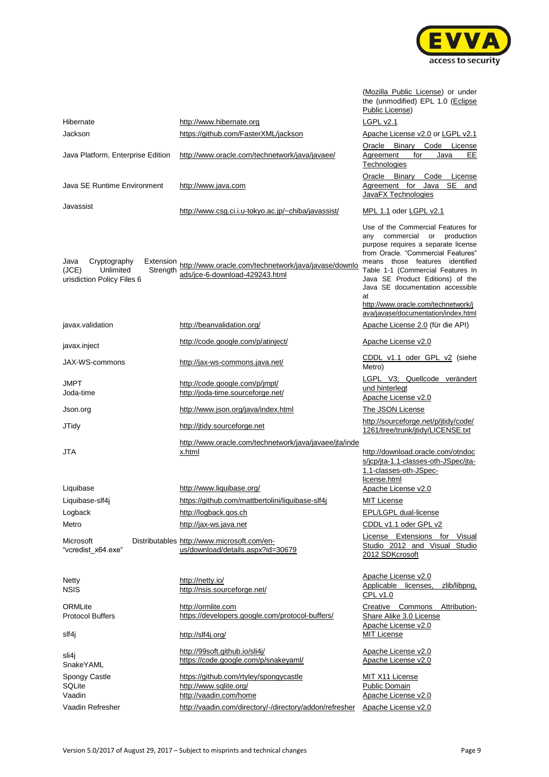

[\(Mozilla Public License\)](http://www.mozilla.org/MPL/1.1/) or under

|                                                                                                   |                                                                                        | the (unmodified) EPL 1.0 (Eclipse<br>Public License)                                                                                                                                                                                                                                                                                                                                      |
|---------------------------------------------------------------------------------------------------|----------------------------------------------------------------------------------------|-------------------------------------------------------------------------------------------------------------------------------------------------------------------------------------------------------------------------------------------------------------------------------------------------------------------------------------------------------------------------------------------|
| Hibernate                                                                                         | http://www.hibernate.org                                                               | LGPL v2.1                                                                                                                                                                                                                                                                                                                                                                                 |
| Jackson                                                                                           | https://github.com/FasterXML/jackson                                                   | Apache License v2.0 or LGPL v2.1                                                                                                                                                                                                                                                                                                                                                          |
|                                                                                                   |                                                                                        | Oracle Binary<br>Code License                                                                                                                                                                                                                                                                                                                                                             |
| Java Platform, Enterprise Edition                                                                 | http://www.oracle.com/technetwork/java/javaee/                                         | Agreement<br>for<br>Java<br>EE<br>Technologies                                                                                                                                                                                                                                                                                                                                            |
| Java SE Runtime Environment                                                                       | http://www.java.com                                                                    | Oracle<br>Binary<br>Code<br>License<br><b>SE</b><br>Agreement for Java<br>and<br>JavaFX Technologies                                                                                                                                                                                                                                                                                      |
| Javassist                                                                                         | http://www.csg.ci.i.u-tokyo.ac.jp/~chiba/javassist/                                    | MPL 1.1 oder LGPL v2.1                                                                                                                                                                                                                                                                                                                                                                    |
| Cryptography<br>Java<br>Extension<br>(JCE)<br>Unlimited<br>Strength<br>urisdiction Policy Files 6 | http://www.oracle.com/technetwork/java/javase/downlo<br>ads/jce-6-download-429243.html | Use of the Commercial Features for<br>any commercial<br>or<br>production<br>purpose requires a separate license<br>from Oracle. "Commercial Features"<br>means those features identified<br>Table 1-1 (Commercial Features In<br>Java SE Product Editions) of the<br>Java SE documentation accessible<br>at<br>http://www.oracle.com/technetwork/j<br>ava/javase/documentation/index.html |
| javax.validation                                                                                  | http://beanvalidation.org/                                                             | Apache License 2.0 (für die API)                                                                                                                                                                                                                                                                                                                                                          |
| javax.inject                                                                                      | http://code.google.com/p/atinject/                                                     | Apache License v2.0                                                                                                                                                                                                                                                                                                                                                                       |
| JAX-WS-commons                                                                                    | http://jax-ws-commons.java.net/                                                        | CDDL v1.1 oder GPL v2 (siehe<br>Metro)                                                                                                                                                                                                                                                                                                                                                    |
| JMPT<br>Joda-time                                                                                 | http://code.google.com/p/jmpt/<br>http://joda-time.sourceforge.net/                    | LGPL V3; Quellcode verändert<br>und hinterlegt<br>Apache License v2.0                                                                                                                                                                                                                                                                                                                     |
| Json.org                                                                                          | http://www.json.org/java/index.html                                                    | The JSON License                                                                                                                                                                                                                                                                                                                                                                          |
| <b>JTidy</b>                                                                                      | http://jtidy.sourceforge.net                                                           | http://sourceforge.net/p/jtidy/code/<br>1261/tree/trunk/jtidy/LICENSE.txt                                                                                                                                                                                                                                                                                                                 |
| JTA                                                                                               | http://www.oracle.com/technetwork/java/javaee/jta/inde<br>x.html                       | http://download.oracle.com/otndoc<br>s/jcp/jta-1.1-classes-oth-JSpec/jta-<br>1.1-classes-oth-JSpec-<br>license.html                                                                                                                                                                                                                                                                       |
| Liquibase                                                                                         | http://www.liquibase.org/                                                              | Apache License v2.0                                                                                                                                                                                                                                                                                                                                                                       |
| Liquibase-slf4j                                                                                   | https://github.com/mattbertolini/liquibase-slf4j                                       | MIT License                                                                                                                                                                                                                                                                                                                                                                               |
| Logback                                                                                           | http://logback.gos.ch                                                                  | <b>EPL/LGPL dual-license</b>                                                                                                                                                                                                                                                                                                                                                              |
| Metro                                                                                             | http://jax-ws.java.net                                                                 | CDDL v1.1 oder GPL v2                                                                                                                                                                                                                                                                                                                                                                     |
| Microsoft<br>"vcredist_x64.exe"                                                                   | Distributables http://www.microsoft.com/en-<br>us/download/details.aspx?id=30679       | License Extensions for Visual<br>Studio 2012 and Visual Studio<br>2012 SDKcrosoft                                                                                                                                                                                                                                                                                                         |
| <b>Netty</b><br><b>NSIS</b>                                                                       | http://netty.io/<br>http://nsis.sourceforge.net/                                       | Apache License v2.0<br>Applicable licenses,<br>zlib/libpng,<br>CPL v1.0                                                                                                                                                                                                                                                                                                                   |
| ORMLite<br><b>Protocol Buffers</b>                                                                | http://ormlite.com<br>https://developers.google.com/protocol-buffers/                  | Creative Commons Attribution-<br>Share Alike 3.0 License                                                                                                                                                                                                                                                                                                                                  |
| slf4j                                                                                             | http://slf4j.org/                                                                      | Apache License v2.0<br><b>MIT License</b>                                                                                                                                                                                                                                                                                                                                                 |
| sli4j<br>SnakeYAML                                                                                | http://99soft.github.io/sli4j/<br>https://code.google.com/p/snakeyaml/                 | Apache License v2.0<br>Apache License v2.0                                                                                                                                                                                                                                                                                                                                                |
| Spongy Castle                                                                                     | https://github.com/rtyley/spongycastle                                                 | MIT X11 License                                                                                                                                                                                                                                                                                                                                                                           |
| SQLite<br>Vaadin                                                                                  | http://www.sqlite.org/<br>http://vaadin.com/home                                       | Public Domain<br>Apache License v2.0                                                                                                                                                                                                                                                                                                                                                      |
| Vaadin Refresher                                                                                  | http://vaadin.com/directory/-/directory/addon/refresher                                | Apache License v2.0                                                                                                                                                                                                                                                                                                                                                                       |
|                                                                                                   |                                                                                        |                                                                                                                                                                                                                                                                                                                                                                                           |